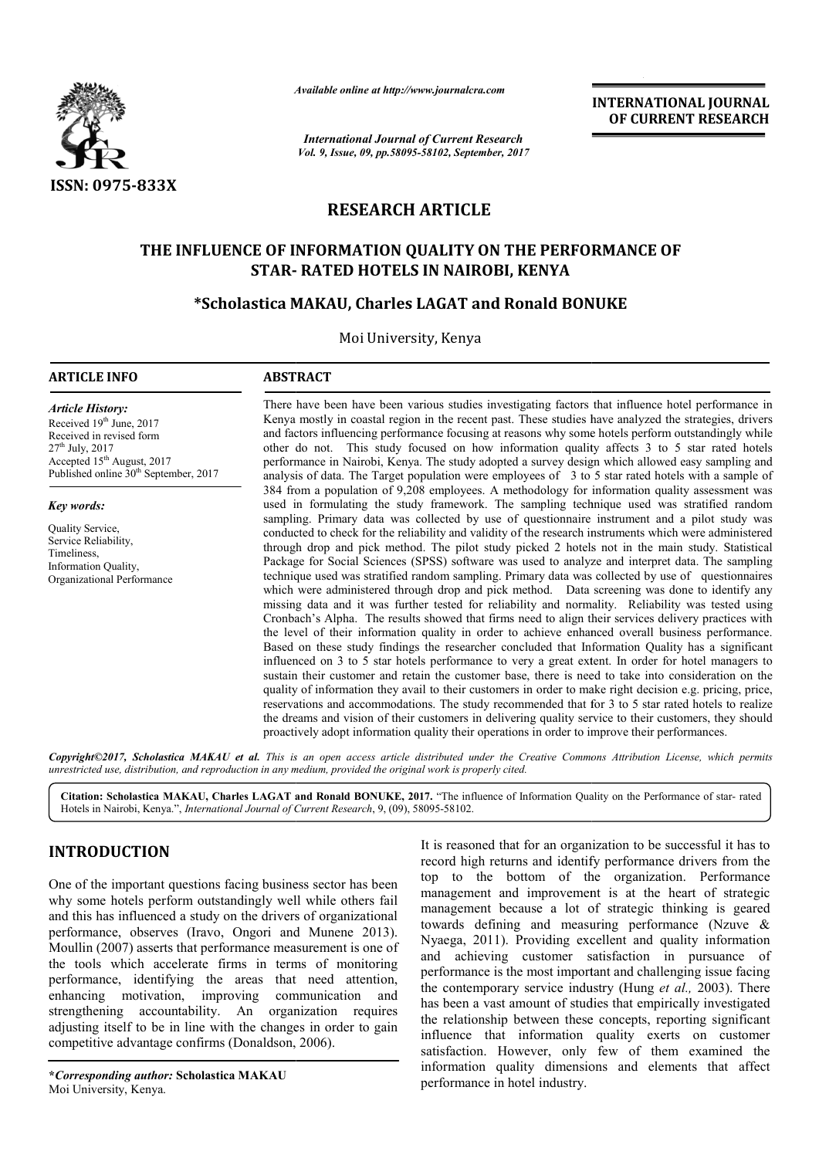

*Available online at http://www.journal http://www.journalcra.com*

*International Journal of Current Research Vol. 9, Issue, 09, pp.58095-58102, September, 2017* **INTERNATIONAL JOURNAL OF CURRENT RESEARCH** 

# **RESEARCH ARTICLE**

# **THE INFLUENCE OF INFORMATION QUALITY ON THE PERFORMANCE OF STAR- - RATED HOTELS IN NAIROBI, KENYA QUALITY ON THE PE<br>LS IN NAIROBI, KENY.<br>s LAGAT and Ronald**

# **\*Scholastica MAKAU, Charles LAGAT and Ronald BONUKE Scholastica**

Moi University, Kenya

#### **ARTICLE INFO ABSTRACT**

*Article History:* Received 19<sup>th</sup> June, 2017 Received in revised form 27th July, 2017 Accepted 15<sup>th</sup> August, 2017 Published online  $30<sup>th</sup>$  September, 2017

*Key words:*

Quality Service, Service Reliability, **Timeliness** Information Quality, Organizational Performance

There have been have been various studies investigating factors that influence hotel performance in Kenya mostly in coastal region in the recent past. These studies have analyzed the strategies, drivers and factors influencing performance focusing at reasons why some hotels perform outstandingly while other do not. This study focused on how information quality affects 3 to 5 star rated hotels There have been have been various studies investigating factors that influence hotel performance in Kenya mostly in coastal region in the recent past. These studies have analyzed the strategies, drivers and factors influen analysis of data. The Target population were employees of 3 to 5 star rated hotels with a sample of 384 from a population of 9,208 employees. A methodology for information quality assessment was used in formulating the study framework. The sampling technique used was stratified random sampling. Primary data was collected by use of questionnaire instrument and a pilot study was conducted to check for the reliability and validity of the research instruments which were administered through drop and pick method. The pilot study picked 2 hotels not in the main study. Statistical Package for Social Sciences (SPSS) software was used to analyze and interpret data. The sampling technique used was stratified random sampling. Primary data was collected by use of questionnaires which were administered through drop and pick method. Data screening was done to identify any missing data and it was further tested for reliability and normality. Reliability was tested using Cronbach's Alp Alpha. The results showed that firms need to align their services delivery practices with the level of their information quality in order to achieve enhanced overall business performance. Based on these study findings the researcher concluded that Information Quality has a significant influenced on 3 to 5 star hotels performance to very a great extent. In order for hotel managers to sustain their customer and retain the customer base, there is need to take into consideration on the quality of information they avail to their customers in order to make right decision e.g. pricing, price, reservations and accommodations. The study recommended that for 3 to 5 star rated hotels to realize the dreams and vision of their customers in delivering quality service to the proactively adopt information quality their operations in order to improve their performances. analysis of data. The Target population were employees of 3 to 5 star rated hotels with a sample of 384 from a population of 9,208 employees. A methodology for information quality assessment was used in formulating the stu through drop and pick method. The pilot study picked 2 hotels not in the main study. Statistical Package for Social Sciences (SPSS) software was used to analyze and interpret data. The sampling technique used was stratifie influenced on 3 to 5 star hotels performance to very a great extent. In order for hotel managers to sustain their customer and retain the customer base, there is need to take into consideration on the quality of informatio between concepts, that quality exerts However, few

*Copyright©2017, Scholastica MAKAU et al. This is an open access article distributed under the Creative Commons Att is an open under Attribution License, which permits unrestricted use, distribution, and reproduction in any medium, provided the original work is properly cited.*

Citation: Scholastica MAKAU, Charles LAGAT and Ronald BONUKE, 2017. "The influence of Information Quality on the Performance of star- rated Hotels in Nairobi, Kenya.", *International Journal of Current Research* , 9, (09), 58095-58102.

# **INTRODUCTION**

One of the important questions facing business sector has been why some hotels perform outstandingly well while others fail and this has influenced a study on the drivers of organizational performance, observes (Iravo, Ongori and Munene 2013). Moullin (2007) asserts that performance measurement is one of the tools which accelerate firms in terms of monitoring performance, identifying the areas that need attention, enhancing motivation, improving communication and strengthening accountability. An organization requires adjusting itself to be in line with the changes in order to gain competitive advantage confirms (Donaldson, 2006).

It is reasoned that for an organization to be successful it has to record high returns and identify performance drivers from the top to the bottom of the organization. Performance management and improvement is at the heart of strategic management because a lot of strategic thinking is geared towards defining and measuring performance (Nzuve & Nyaega, 2011). Providing excellent and quality information and achieving customer satisfaction in pursuance of performance is the most important and challenging issue facing the contemporary service industry (Hung et al., 2003). There has been a vast amount of studies that empirically investigated the relationship between these concepts, reporting significant influence that information quality exerts on customer satisfaction. However, only few of them examined the information quality dimensions and elements that affect performance in hotel industry. reasoned that for an organization to be successful it has to<br>rd high returns and identify performance drivers from the<br>to the bottom of the organization. Performance<br>agement and improvement is at the heart of strategic<br>age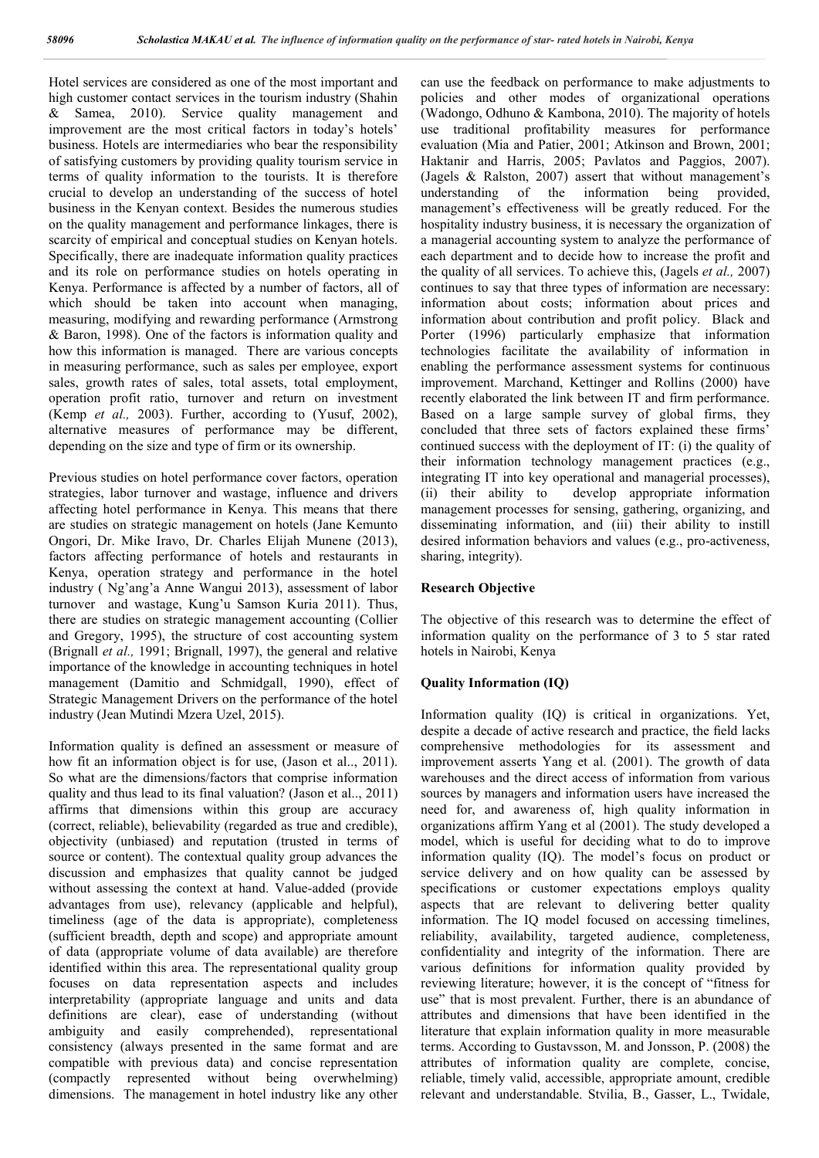Hotel services are considered as one of the most important and high customer contact services in the tourism industry (Shahin & Samea, 2010). Service quality management and improvement are the most critical factors in today's hotels' business. Hotels are intermediaries who bear the responsibility of satisfying customers by providing quality tourism service in terms of quality information to the tourists. It is therefore crucial to develop an understanding of the success of hotel business in the Kenyan context. Besides the numerous studies on the quality management and performance linkages, there is scarcity of empirical and conceptual studies on Kenyan hotels. Specifically, there are inadequate information quality practices and its role on performance studies on hotels operating in Kenya. Performance is affected by a number of factors, all of which should be taken into account when managing, measuring, modifying and rewarding performance (Armstrong & Baron, 1998). One of the factors is information quality and how this information is managed. There are various concepts in measuring performance, such as sales per employee, export sales, growth rates of sales, total assets, total employment, operation profit ratio, turnover and return on investment (Kemp *et al.,* 2003). Further, according to (Yusuf, 2002), alternative measures of performance may be different, depending on the size and type of firm or its ownership.

Previous studies on hotel performance cover factors, operation strategies, labor turnover and wastage, influence and drivers affecting hotel performance in Kenya. This means that there are studies on strategic management on hotels (Jane Kemunto Ongori, Dr. Mike Iravo, Dr. Charles Elijah Munene (2013), factors affecting performance of hotels and restaurants in Kenya, operation strategy and performance in the hotel industry ( Ng'ang'a Anne Wangui 2013), assessment of labor turnover and wastage, Kung'u Samson Kuria 2011). Thus, there are studies on strategic management accounting (Collier and Gregory, 1995), the structure of cost accounting system (Brignall *et al.,* 1991; Brignall, 1997), the general and relative importance of the knowledge in accounting techniques in hotel management (Damitio and Schmidgall, 1990), effect of Strategic Management Drivers on the performance of the hotel industry (Jean Mutindi Mzera Uzel, 2015).

Information quality is defined an assessment or measure of how fit an information object is for use, (Jason et al.., 2011). So what are the dimensions/factors that comprise information quality and thus lead to its final valuation? (Jason et al.., 2011) affirms that dimensions within this group are accuracy (correct, reliable), believability (regarded as true and credible), objectivity (unbiased) and reputation (trusted in terms of source or content). The contextual quality group advances the discussion and emphasizes that quality cannot be judged without assessing the context at hand. Value-added (provide advantages from use), relevancy (applicable and helpful), timeliness (age of the data is appropriate), completeness (sufficient breadth, depth and scope) and appropriate amount of data (appropriate volume of data available) are therefore identified within this area. The representational quality group focuses on data representation aspects and includes interpretability (appropriate language and units and data definitions are clear), ease of understanding (without ambiguity and easily comprehended), representational consistency (always presented in the same format and are compatible with previous data) and concise representation (compactly represented without being overwhelming) dimensions. The management in hotel industry like any other

can use the feedback on performance to make adjustments to policies and other modes of organizational operations (Wadongo, Odhuno & Kambona, 2010). The majority of hotels use traditional profitability measures for performance evaluation (Mia and Patier, 2001; Atkinson and Brown, 2001; Haktanir and Harris, 2005; Pavlatos and Paggios, 2007). (Jagels & Ralston, 2007) assert that without management's understanding of the information being provided. information being provided. management's effectiveness will be greatly reduced. For the hospitality industry business, it is necessary the organization of a managerial accounting system to analyze the performance of each department and to decide how to increase the profit and the quality of all services. To achieve this, (Jagels *et al.,* 2007) continues to say that three types of information are necessary: information about costs; information about prices and information about contribution and profit policy. Black and Porter (1996) particularly emphasize that information technologies facilitate the availability of information in enabling the performance assessment systems for continuous improvement. Marchand, Kettinger and Rollins (2000) have recently elaborated the link between IT and firm performance. Based on a large sample survey of global firms, they concluded that three sets of factors explained these firms' continued success with the deployment of IT: (i) the quality of their information technology management practices (e.g., integrating IT into key operational and managerial processes), (ii) their ability to develop appropriate information management processes for sensing, gathering, organizing, and disseminating information, and (iii) their ability to instill desired information behaviors and values (e.g., pro-activeness, sharing, integrity).

#### **Research Objective**

The objective of this research was to determine the effect of information quality on the performance of 3 to 5 star rated hotels in Nairobi, Kenya

#### **Quality Information (IQ)**

Information quality (IQ) is critical in organizations. Yet, despite a decade of active research and practice, the field lacks comprehensive methodologies for its assessment and improvement asserts Yang et al. (2001). The growth of data warehouses and the direct access of information from various sources by managers and information users have increased the need for, and awareness of, high quality information in organizations affirm Yang et al (2001). The study developed a model, which is useful for deciding what to do to improve information quality (IQ). The model's focus on product or service delivery and on how quality can be assessed by specifications or customer expectations employs quality aspects that are relevant to delivering better quality information. The IQ model focused on accessing timelines, reliability, availability, targeted audience, completeness, confidentiality and integrity of the information. There are various definitions for information quality provided by reviewing literature; however, it is the concept of "fitness for use" that is most prevalent. Further, there is an abundance of attributes and dimensions that have been identified in the literature that explain information quality in more measurable terms. According to Gustavsson, M. and Jonsson, P. (2008) the attributes of information quality are complete, concise, reliable, timely valid, accessible, appropriate amount, credible relevant and understandable. Stvilia, B., Gasser, L., Twidale,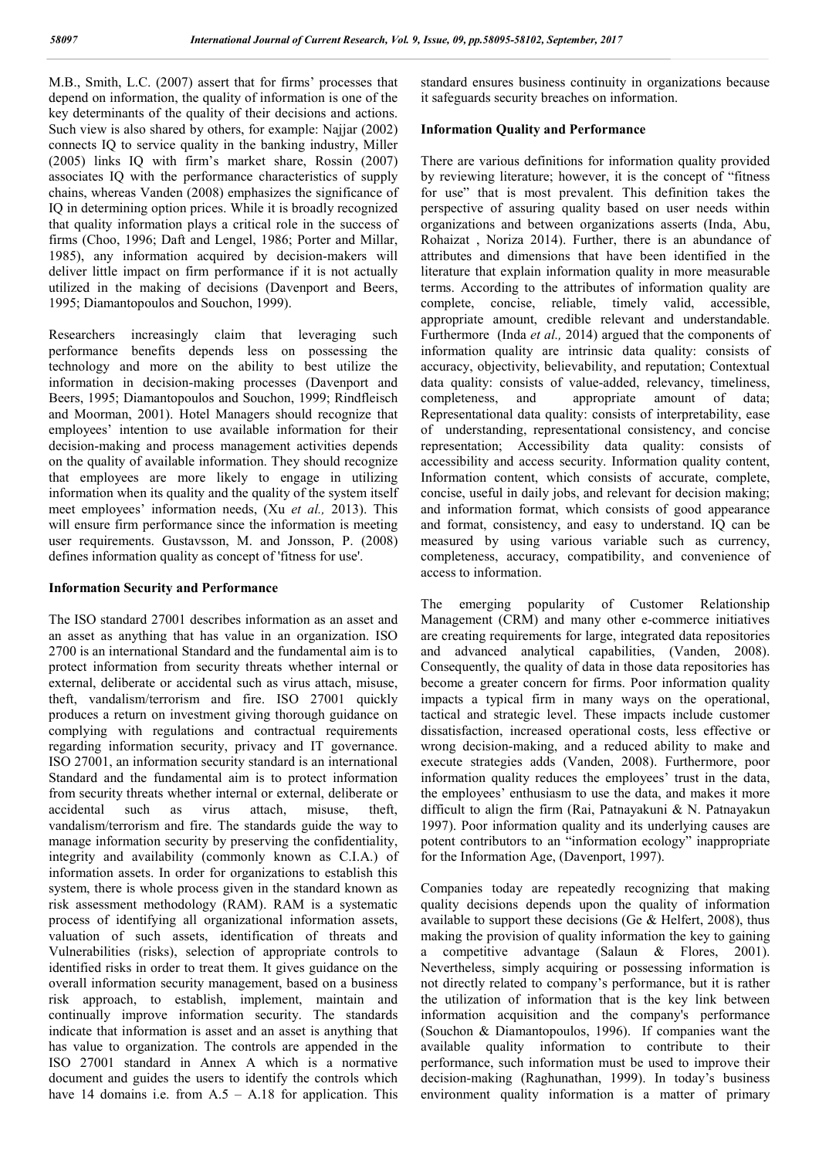M.B., Smith, L.C. (2007) assert that for firms' processes that depend on information, the quality of information is one of the key determinants of the quality of their decisions and actions. Such view is also shared by others, for example: Najjar (2002) connects IQ to service quality in the banking industry, Miller (2005) links IQ with firm's market share, Rossin (2007) associates IQ with the performance characteristics of supply chains, whereas Vanden (2008) emphasizes the significance of IQ in determining option prices. While it is broadly recognized that quality information plays a critical role in the success of firms (Choo, 1996; Daft and Lengel, 1986; Porter and Millar, 1985), any information acquired by decision-makers will deliver little impact on firm performance if it is not actually utilized in the making of decisions (Davenport and Beers, 1995; Diamantopoulos and Souchon, 1999).

Researchers increasingly claim that leveraging such performance benefits depends less on possessing the technology and more on the ability to best utilize the information in decision-making processes (Davenport and Beers, 1995; Diamantopoulos and Souchon, 1999; Rindfleisch and Moorman, 2001). Hotel Managers should recognize that employees' intention to use available information for their decision-making and process management activities depends on the quality of available information. They should recognize that employees are more likely to engage in utilizing information when its quality and the quality of the system itself meet employees' information needs, (Xu *et al.,* 2013). This will ensure firm performance since the information is meeting user requirements. Gustavsson, M. and Jonsson, P. (2008) defines information quality as concept of 'fitness for use'.

#### **Information Security and Performance**

The ISO standard 27001 describes information as an asset and an asset as anything that has value in an organization. ISO 2700 is an international Standard and the fundamental aim is to protect information from security threats whether internal or external, deliberate or accidental such as virus attach, misuse, theft, vandalism/terrorism and fire. ISO 27001 quickly produces a return on investment giving thorough guidance on complying with regulations and contractual requirements regarding information security, privacy and IT governance. ISO 27001, an information security standard is an international Standard and the fundamental aim is to protect information from security threats whether internal or external, deliberate or accidental such as virus attach, misuse, theft, vandalism/terrorism and fire. The standards guide the way to manage information security by preserving the confidentiality, integrity and availability (commonly known as C.I.A.) of information assets. In order for organizations to establish this system, there is whole process given in the standard known as risk assessment methodology (RAM). RAM is a systematic process of identifying all organizational information assets, valuation of such assets, identification of threats and Vulnerabilities (risks), selection of appropriate controls to identified risks in order to treat them. It gives guidance on the overall information security management, based on a business risk approach, to establish, implement, maintain and continually improve information security. The standards indicate that information is asset and an asset is anything that has value to organization. The controls are appended in the ISO 27001 standard in Annex A which is a normative document and guides the users to identify the controls which have 14 domains i.e. from A.5 - A.18 for application. This

standard ensures business continuity in organizations because it safeguards security breaches on information.

#### **Information Quality and Performance**

There are various definitions for information quality provided by reviewing literature; however, it is the concept of "fitness for use" that is most prevalent. This definition takes the perspective of assuring quality based on user needs within organizations and between organizations asserts (Inda, Abu, Rohaizat , Noriza 2014). Further, there is an abundance of attributes and dimensions that have been identified in the literature that explain information quality in more measurable terms. According to the attributes of information quality are complete, concise, reliable, timely valid, accessible, appropriate amount, credible relevant and understandable. Furthermore (Inda *et al.,* 2014) argued that the components of information quality are intrinsic data quality: consists of accuracy, objectivity, believability, and reputation; Contextual data quality: consists of value-added, relevancy, timeliness, completeness, and appropriate amount of data; Representational data quality: consists of interpretability, ease of understanding, representational consistency, and concise representation; Accessibility data quality: consists of accessibility and access security. Information quality content, Information content, which consists of accurate, complete, concise, useful in daily jobs, and relevant for decision making; and information format, which consists of good appearance and format, consistency, and easy to understand. IQ can be measured by using various variable such as currency, completeness, accuracy, compatibility, and convenience of access to information.

The emerging popularity of Customer Relationship Management (CRM) and many other e-commerce initiatives are creating requirements for large, integrated data repositories and advanced analytical capabilities, (Vanden, 2008). Consequently, the quality of data in those data repositories has become a greater concern for firms. Poor information quality impacts a typical firm in many ways on the operational, tactical and strategic level. These impacts include customer dissatisfaction, increased operational costs, less effective or wrong decision-making, and a reduced ability to make and execute strategies adds (Vanden, 2008). Furthermore, poor information quality reduces the employees' trust in the data, the employees' enthusiasm to use the data, and makes it more difficult to align the firm (Rai, Patnayakuni & N. Patnayakun 1997). Poor information quality and its underlying causes are potent contributors to an "information ecology" inappropriate for the Information Age, (Davenport, 1997).

Companies today are repeatedly recognizing that making quality decisions depends upon the quality of information available to support these decisions (Ge & Helfert, 2008), thus making the provision of quality information the key to gaining a competitive advantage (Salaun & Flores, 2001). Nevertheless, simply acquiring or possessing information is not directly related to company's performance, but it is rather the utilization of information that is the key link between information acquisition and the company's performance (Souchon & Diamantopoulos, 1996). If companies want the available quality information to contribute to their performance, such information must be used to improve their decision-making (Raghunathan, 1999). In today's business environment quality information is a matter of primary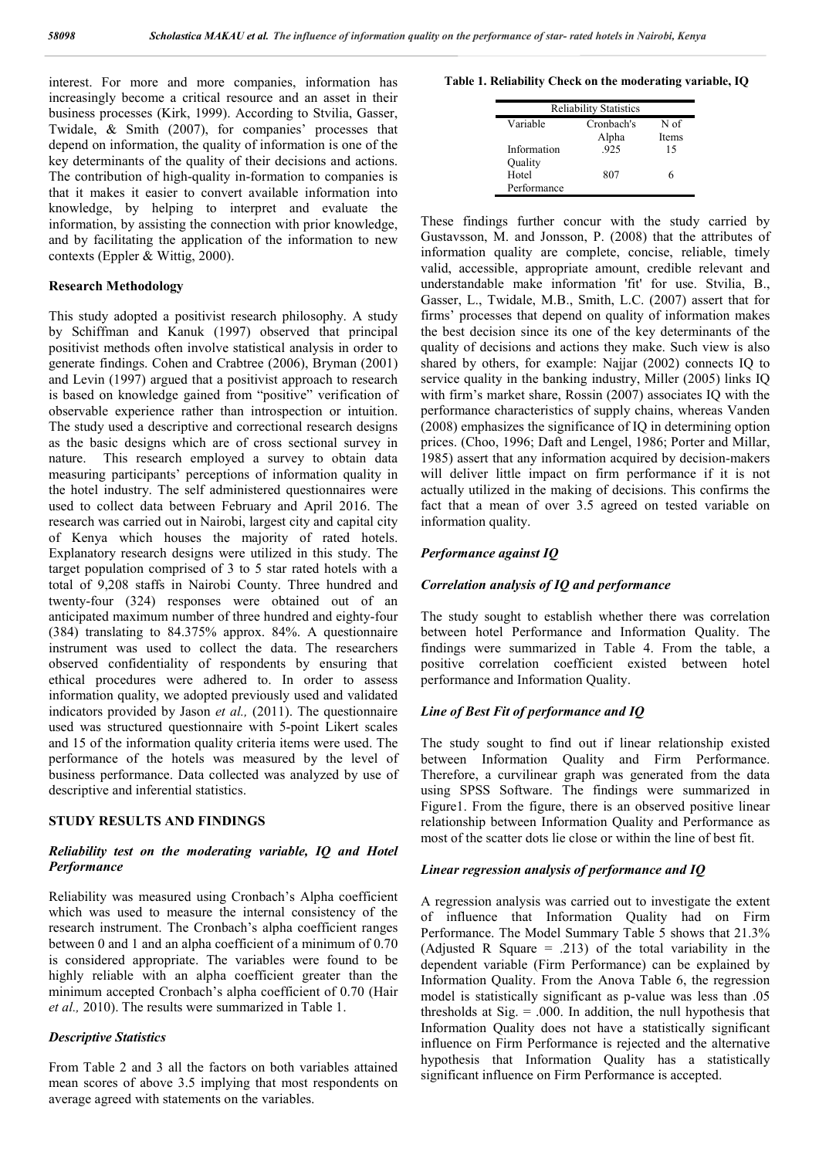interest. For more and more companies, information has increasingly become a critical resource and an asset in their business processes (Kirk, 1999). According to Stvilia, Gasser, Twidale, & Smith (2007), for companies' processes that depend on information, the quality of information is one of the key determinants of the quality of their decisions and actions. The contribution of high-quality in-formation to companies is that it makes it easier to convert available information into knowledge, by helping to interpret and evaluate the information, by assisting the connection with prior knowledge, and by facilitating the application of the information to new contexts (Eppler & Wittig, 2000).

#### **Research Methodology**

This study adopted a positivist research philosophy. A study by Schiffman and Kanuk (1997) observed that principal positivist methods often involve statistical analysis in order to generate findings. Cohen and Crabtree (2006), Bryman (2001) and Levin (1997) argued that a positivist approach to research is based on knowledge gained from "positive" verification of observable experience rather than introspection or intuition. The study used a descriptive and correctional research designs as the basic designs which are of cross sectional survey in nature. This research employed a survey to obtain data measuring participants' perceptions of information quality in the hotel industry. The self administered questionnaires were used to collect data between February and April 2016. The research was carried out in Nairobi, largest city and capital city of Kenya which houses the majority of rated hotels. Explanatory research designs were utilized in this study. The target population comprised of 3 to 5 star rated hotels with a total of 9,208 staffs in Nairobi County. Three hundred and twenty-four (324) responses were obtained out of an anticipated maximum number of three hundred and eighty-four (384) translating to 84.375% approx. 84%. A questionnaire instrument was used to collect the data. The researchers observed confidentiality of respondents by ensuring that ethical procedures were adhered to. In order to assess information quality, we adopted previously used and validated indicators provided by Jason *et al.,* (2011). The questionnaire used was structured questionnaire with 5-point Likert scales and 15 of the information quality criteria items were used. The performance of the hotels was measured by the level of business performance. Data collected was analyzed by use of descriptive and inferential statistics.

#### **STUDY RESULTS AND FINDINGS**

#### *Reliability test on the moderating variable, IQ and Hotel Performance*

Reliability was measured using Cronbach's Alpha coefficient which was used to measure the internal consistency of the research instrument. The Cronbach's alpha coefficient ranges between 0 and 1 and an alpha coefficient of a minimum of 0.70 is considered appropriate. The variables were found to be highly reliable with an alpha coefficient greater than the minimum accepted Cronbach's alpha coefficient of 0.70 (Hair *et al.,* 2010). The results were summarized in Table 1.

#### *Descriptive Statistics*

From Table 2 and 3 all the factors on both variables attained mean scores of above 3.5 implying that most respondents on average agreed with statements on the variables.

#### **Table 1. Reliability Check on the moderating variable, IQ**

|             | <b>Reliability Statistics</b> |       |
|-------------|-------------------------------|-------|
| Variable    | Cronbach's                    | N of  |
|             | Alpha                         | Items |
| Information | .925                          | 15    |
| Ouality     |                               |       |
| Hotel       | 807                           | 6     |
| Performance |                               |       |

These findings further concur with the study carried by Gustavsson, M. and Jonsson, P. (2008) that the attributes of information quality are complete, concise, reliable, timely valid, accessible, appropriate amount, credible relevant and understandable make information 'fit' for use. Stvilia, B., Gasser, L., Twidale, M.B., Smith, L.C. (2007) assert that for firms' processes that depend on quality of information makes the best decision since its one of the key determinants of the quality of decisions and actions they make. Such view is also shared by others, for example: Najjar (2002) connects IQ to service quality in the banking industry, Miller (2005) links IQ with firm's market share, Rossin (2007) associates IQ with the performance characteristics of supply chains, whereas Vanden (2008) emphasizes the significance of IQ in determining option prices. (Choo, 1996; Daft and Lengel, 1986; Porter and Millar, 1985) assert that any information acquired by decision-makers will deliver little impact on firm performance if it is not actually utilized in the making of decisions. This confirms the fact that a mean of over 3.5 agreed on tested variable on information quality.

#### *Performance against IQ*

#### *Correlation analysis of IQ and performance*

The study sought to establish whether there was correlation between hotel Performance and Information Quality. The findings were summarized in Table 4. From the table, a positive correlation coefficient existed between hotel performance and Information Quality.

#### *Line of Best Fit of performance and IQ*

The study sought to find out if linear relationship existed between Information Quality and Firm Performance. Therefore, a curvilinear graph was generated from the data using SPSS Software. The findings were summarized in Figure1. From the figure, there is an observed positive linear relationship between Information Quality and Performance as most of the scatter dots lie close or within the line of best fit.

#### *Linear regression analysis of performance and IQ*

A regression analysis was carried out to investigate the extent of influence that Information Quality had on Firm Performance. The Model Summary Table 5 shows that 21.3% (Adjusted R Square  $=$  .213) of the total variability in the dependent variable (Firm Performance) can be explained by Information Quality. From the Anova Table 6, the regression model is statistically significant as p-value was less than .05 thresholds at  $Sig. = .000$ . In addition, the null hypothesis that Information Quality does not have a statistically significant influence on Firm Performance is rejected and the alternative hypothesis that Information Quality has a statistically significant influence on Firm Performance is accepted.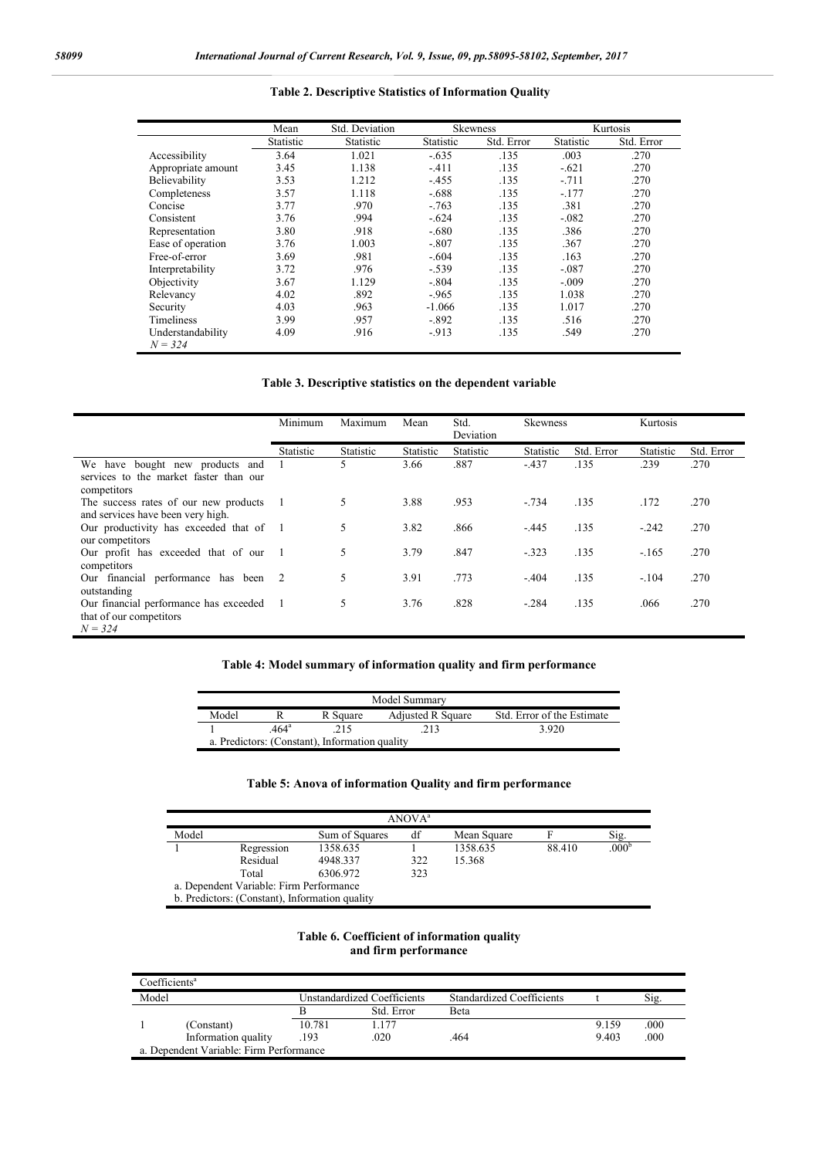#### **Table 2. Descriptive Statistics of Information Quality**

|                                | Mean      | Std. Deviation |           | <b>Skewness</b> |                  | Kurtosis   |
|--------------------------------|-----------|----------------|-----------|-----------------|------------------|------------|
|                                | Statistic | Statistic      | Statistic | Std. Error      | <b>Statistic</b> | Std. Error |
| Accessibility                  | 3.64      | 1.021          | $-.635$   | .135            | .003             | .270       |
| Appropriate amount             | 3.45      | 1.138          | $-411$    | .135            | $-.621$          | .270       |
| Believability                  | 3.53      | 1.212          | $-455$    | .135            | $-.711$          | .270       |
| Completeness                   | 3.57      | 1.118          | $-.688$   | .135            | $-.177$          | .270       |
| Concise                        | 3.77      | .970           | $-.763$   | .135            | .381             | .270       |
| Consistent                     | 3.76      | .994           | $-.624$   | .135            | $-.082$          | .270       |
| Representation                 | 3.80      | .918           | $-.680$   | .135            | .386             | .270       |
| Ease of operation              | 3.76      | 1.003          | $-.807$   | .135            | .367             | .270       |
| Free-of-error                  | 3.69      | .981           | $-.604$   | .135            | .163             | .270       |
| Interpretability               | 3.72      | .976           | $-.539$   | .135            | $-087$           | .270       |
| Objectivity                    | 3.67      | 1.129          | $-.804$   | .135            | $-.009$          | .270       |
| Relevancy                      | 4.02      | .892           | $-965$    | .135            | 1.038            | .270       |
| Security                       | 4.03      | .963           | $-1.066$  | .135            | 1.017            | .270       |
| <b>Timeliness</b>              | 3.99      | .957           | $-.892$   | .135            | .516             | .270       |
| Understandability<br>$N = 324$ | 4.09      | .916           | $-913$    | .135            | .549             | .270       |

### **Table 3. Descriptive statistics on the dependent variable**

|                                                                                          | Minimum   | Maximum   | Mean      | Std.<br>Deviation | <b>Skewness</b> |            | Kurtosis  |            |
|------------------------------------------------------------------------------------------|-----------|-----------|-----------|-------------------|-----------------|------------|-----------|------------|
|                                                                                          | Statistic | Statistic | Statistic | Statistic         | Statistic       | Std. Error | Statistic | Std. Error |
| We have bought new products and<br>services to the market faster than our<br>competitors |           | 5         | 3.66      | .887              | $-437$          | .135       | .239      | .270       |
| The success rates of our new products<br>and services have been very high.               | -1        | 5         | 3.88      | .953              | $-734$          | .135       | .172      | .270       |
| Our productivity has exceeded that of 1<br>our competitors                               |           | 5         | 3.82      | .866              | $-445$          | .135       | $-.242$   | .270       |
| Our profit has exceeded that of our 1<br>competitors                                     |           | 5         | 3.79      | .847              | $-323$          | .135       | $-165$    | .270       |
| Our financial performance has been 2<br>outstanding                                      |           | 5         | 3.91      | .773              | $-.404$         | .135       | $-.104$   | .270       |
| Our financial performance has exceeded<br>that of our competitors<br>$N = 324$           | -1        | 5         | 3.76      | .828              | $-.284$         | .135       | .066      | .270       |

### **Table 4: Model summary of information quality and firm performance**

|       |               |                                                | Model Summary            |                            |
|-------|---------------|------------------------------------------------|--------------------------|----------------------------|
| Model |               | R Square                                       | <b>Adjusted R Square</b> | Std. Error of the Estimate |
|       | $464^{\circ}$ | 215                                            | 213                      | 3.920                      |
|       |               | a. Predictors: (Constant), Information quality |                          |                            |

#### **Table 5: Anova of information Quality and firm performance**

|       |                                                |                | ANOVA <sup>a</sup> |             |        |                   |
|-------|------------------------------------------------|----------------|--------------------|-------------|--------|-------------------|
| Model |                                                | Sum of Squares | df                 | Mean Square |        | Sig.              |
|       | Regression                                     | 1358.635       |                    | 1358.635    | 88.410 | .000 <sup>t</sup> |
|       | Residual                                       | 4948.337       | 322                | 15.368      |        |                   |
|       | Total                                          | 6306.972       | 323                |             |        |                   |
|       | a. Dependent Variable: Firm Performance        |                |                    |             |        |                   |
|       | b. Predictors: (Constant), Information quality |                |                    |             |        |                   |

#### **Table 6. Coefficient of information quality and firm performance**

|       | Coefficients <sup>a</sup>               |        |                             |                                  |       |      |
|-------|-----------------------------------------|--------|-----------------------------|----------------------------------|-------|------|
| Model |                                         |        | Unstandardized Coefficients | <b>Standardized Coefficients</b> |       | Sig. |
|       |                                         |        | Std. Error                  | Beta                             |       |      |
|       | (Constant)                              | 10.781 | 1.177                       |                                  | 9.159 | .000 |
|       | Information quality                     | .193   | .020                        | .464                             | 9.403 | .000 |
|       | a. Dependent Variable: Firm Performance |        |                             |                                  |       |      |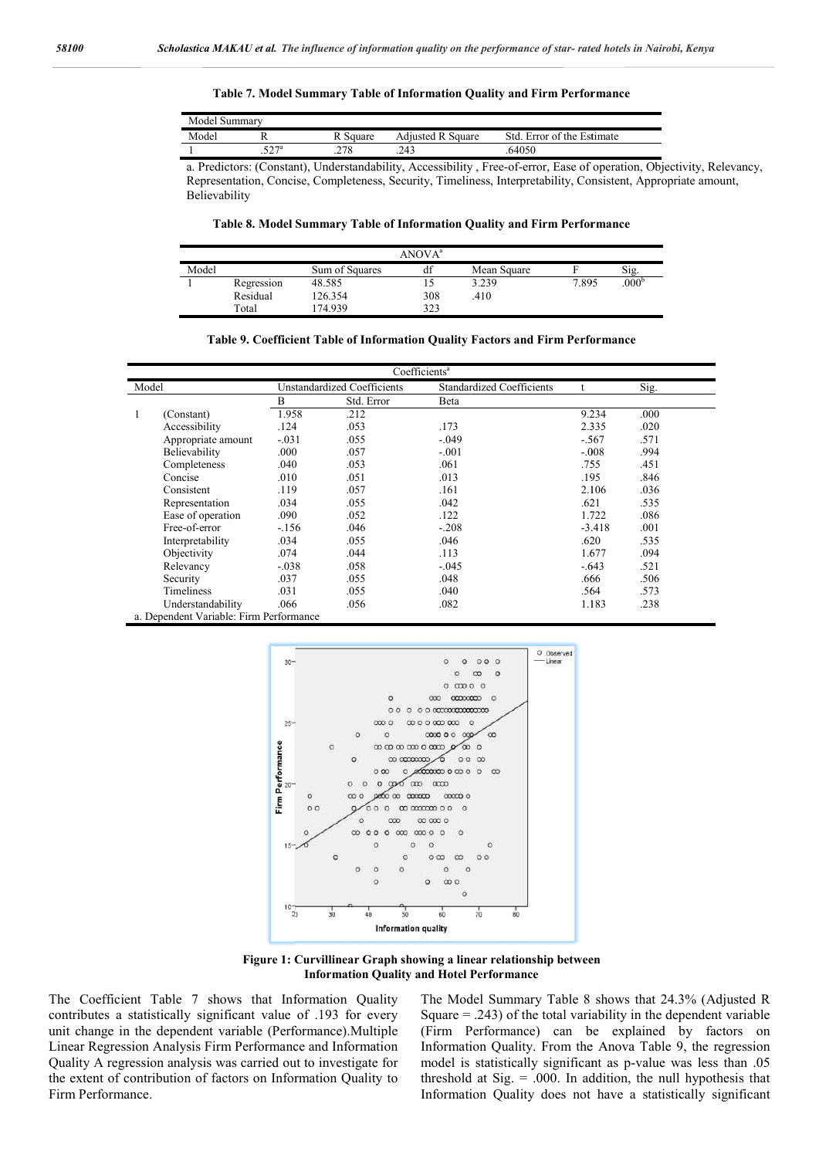| Model | Summarv                   |                |                         |                              |
|-------|---------------------------|----------------|-------------------------|------------------------------|
| Model |                           | Square         | Adıusted<br>R<br>Square | Std<br>Error of the Estimate |
|       | $\tau \cap \tau$ a<br>ے ب | 270<br>$\circ$ | .243                    | 54050                        |

a. Predictors: (Constant), Understandability, Accessibility , Free-of-error, Ease of operation, Objectivity, Relevancy,<br>Representation, Concise, Completeness, Security, Timeliness, Interpretability, Consistent, Appropriate Representation, Concise, Completeness, Security, Timeliness, Interpretability, Consistent, Appropriate amount, Believability

**Table 8. Model Summary Table of Information Quality and Firm Performance Quality and** 

|       |            |                | ANOVA <sup>a</sup> |             |       |      |
|-------|------------|----------------|--------------------|-------------|-------|------|
| Model |            | Sum of Squares | $\mathbf{r}$<br>df | Mean Square |       | Sig. |
|       | Regression | 48.585         |                    | 3.239       | 7.895 | 000  |
|       | Residual   | 126.354        | 308                | .410        |       |      |
|       | Total      | 174.939        | 323                |             |       |      |

**Table 9. Coefficient Table of Information Quality Factors and Firm Performance Quality Factors Firm** 

|       | Model Summary                                       |                        |                                                                                                                                                                                                                                                                                                         |                                                                                       |                        |                           |                            |                                                           |
|-------|-----------------------------------------------------|------------------------|---------------------------------------------------------------------------------------------------------------------------------------------------------------------------------------------------------------------------------------------------------------------------------------------------------|---------------------------------------------------------------------------------------|------------------------|---------------------------|----------------------------|-----------------------------------------------------------|
|       | Model                                               | R                      | R Square                                                                                                                                                                                                                                                                                                | <b>Adjusted R Square</b>                                                              |                        |                           | Std. Error of the Estimate |                                                           |
|       | 1                                                   | $.527^{\circ}$         | .278                                                                                                                                                                                                                                                                                                    | .243                                                                                  |                        | .64050                    |                            |                                                           |
|       | Believability                                       |                        | a. Predictors: (Constant), Understandability, Accessibility, Free-of-error, Ease of operation, Objectivity, R<br>Representation, Concise, Completeness, Security, Timeliness, Interpretability, Consistent, Appropriate amo<br>Table 8. Model Summary Table of Information Quality and Firm Performance |                                                                                       |                        |                           |                            |                                                           |
|       |                                                     |                        |                                                                                                                                                                                                                                                                                                         | ANOVA <sup>a</sup>                                                                    |                        |                           |                            |                                                           |
|       | Model<br>Regression<br>1                            |                        | Sum of Squares<br>48.585                                                                                                                                                                                                                                                                                | df<br>15                                                                              | 3.239                  | Mean Square               | F<br>7.895                 | Sig.<br>$.000^{\circ}$                                    |
|       | Residual<br>Total                                   |                        | 126.354<br>174.939                                                                                                                                                                                                                                                                                      | 308<br>323                                                                            | .410                   |                           |                            |                                                           |
|       |                                                     |                        | Table 9. Coefficient Table of Information Quality Factors and Firm Performance                                                                                                                                                                                                                          |                                                                                       |                        |                           |                            |                                                           |
|       |                                                     |                        |                                                                                                                                                                                                                                                                                                         | Coefficients <sup>a</sup>                                                             |                        |                           |                            |                                                           |
| Model |                                                     | B                      | Unstandardized Coefficients<br>Std. Error                                                                                                                                                                                                                                                               | Beta                                                                                  |                        | Standardized Coefficients | t                          | Sig.                                                      |
|       | (Constant)                                          | 1.958                  | .212                                                                                                                                                                                                                                                                                                    |                                                                                       |                        |                           | 9.234                      | .000                                                      |
|       | Accessibility                                       | .124                   | .053                                                                                                                                                                                                                                                                                                    | .173                                                                                  |                        |                           | 2.335                      | .020                                                      |
|       | Appropriate amount                                  | $-.031$<br>.000        | .055<br>.057                                                                                                                                                                                                                                                                                            | $-.049$                                                                               |                        |                           | $-.567$                    | .571<br>.994                                              |
|       | Believability<br>Completeness                       | .040                   | .053                                                                                                                                                                                                                                                                                                    | $-.001$<br>.061                                                                       |                        |                           | $-.008$<br>.755            | .451                                                      |
|       | Concise                                             | .010                   | .051                                                                                                                                                                                                                                                                                                    | .013                                                                                  |                        |                           | .195                       | .846                                                      |
|       | Consistent                                          | .119                   | .057                                                                                                                                                                                                                                                                                                    | .161                                                                                  |                        |                           | 2.106                      | .036                                                      |
|       | Representation                                      | .034                   | .055                                                                                                                                                                                                                                                                                                    | .042                                                                                  |                        |                           | .621                       | .535                                                      |
|       | Ease of operation<br>Free-of-error                  | .090<br>$-156$         | .052<br>.046                                                                                                                                                                                                                                                                                            | .122<br>$-.208$                                                                       |                        |                           | 1.722<br>$-3.418$          | .086<br>.001                                              |
|       | Interpretability                                    | .034                   | .055                                                                                                                                                                                                                                                                                                    | .046                                                                                  |                        |                           | .620                       | .535                                                      |
|       | Objectivity                                         | .074                   | .044                                                                                                                                                                                                                                                                                                    | .113                                                                                  |                        |                           | 1.677                      | .094                                                      |
|       | Relevancy                                           | $-.038$                | .058                                                                                                                                                                                                                                                                                                    | $-.045$                                                                               |                        |                           | $-.643$                    | .521                                                      |
|       | Security                                            | .037                   | .055                                                                                                                                                                                                                                                                                                    | .048                                                                                  |                        |                           | .666                       | .506                                                      |
|       | Timeliness<br>Understandability                     | .031<br>.066           | .055<br>.056                                                                                                                                                                                                                                                                                            | .040<br>.082                                                                          |                        |                           | .564<br>1.183              | .573<br>.238                                              |
|       | a. Dependent Variable: Firm Performance             |                        |                                                                                                                                                                                                                                                                                                         |                                                                                       |                        |                           |                            |                                                           |
|       |                                                     | 30 <sup>o</sup>        |                                                                                                                                                                                                                                                                                                         |                                                                                       | 0.000                  | O Observed<br>Linear      |                            |                                                           |
|       |                                                     |                        |                                                                                                                                                                                                                                                                                                         | $\circ$                                                                               | $\circ$<br>$\infty$    |                           |                            |                                                           |
|       |                                                     |                        |                                                                                                                                                                                                                                                                                                         | $\circ$<br>$\infty$                                                                   | 0.00000<br>000000000 0 |                           |                            |                                                           |
|       |                                                     |                        |                                                                                                                                                                                                                                                                                                         |                                                                                       |                        |                           |                            |                                                           |
|       |                                                     | $25 -$                 |                                                                                                                                                                                                                                                                                                         | 00 0 0 000 000                                                                        |                        |                           |                            |                                                           |
|       |                                                     |                        | $\circ$<br>$\circ$                                                                                                                                                                                                                                                                                      | o<br>$\infty$ $\infty$ $\infty$ $\infty$ $\infty$ $\infty$ $\infty$ $\infty$ $\infty$ | $\infty$               |                           |                            |                                                           |
|       |                                                     |                        | $\circ$                                                                                                                                                                                                                                                                                                 | $\infty$ $\infty$ $\infty$ $\infty$<br>∕о                                             | 000                    |                           |                            |                                                           |
|       |                                                     |                        | 00                                                                                                                                                                                                                                                                                                      | o <i>ക</i> ര്യായാ o co co                                                             |                        |                           |                            |                                                           |
|       |                                                     | Firm Performance<br>မြ | $\circ$                                                                                                                                                                                                                                                                                                 | 0,000,000,000                                                                         |                        |                           |                            |                                                           |
|       |                                                     | $\circ$                | $\infty$ o<br>0 <sup>o</sup><br>000                                                                                                                                                                                                                                                                     | 000000<br>00000000000000                                                              |                        |                           |                            |                                                           |
|       |                                                     |                        |                                                                                                                                                                                                                                                                                                         | $\infty$<br>000000                                                                    |                        |                           |                            |                                                           |
|       |                                                     | O                      |                                                                                                                                                                                                                                                                                                         | 00 00 0 000 000 0 0<br>$\circ$                                                        |                        |                           |                            |                                                           |
|       |                                                     | 15                     | O                                                                                                                                                                                                                                                                                                       | O<br>$\circ$                                                                          | $\circ$                |                           |                            |                                                           |
|       |                                                     |                        | ٥<br>O                                                                                                                                                                                                                                                                                                  | Ö<br>$\circ$ $\infty$<br>$\infty$<br>$\circ$                                          | 0 <sup>o</sup>         |                           |                            |                                                           |
|       |                                                     |                        | $\circ$<br>Ö                                                                                                                                                                                                                                                                                            | $\circ$<br>$\infty$ o                                                                 | $\circ$                |                           |                            |                                                           |
|       |                                                     |                        |                                                                                                                                                                                                                                                                                                         |                                                                                       | $\Omega$               |                           |                            |                                                           |
|       |                                                     | $10 +$                 | 30<br>40                                                                                                                                                                                                                                                                                                | 50<br>60                                                                              | $\frac{1}{70}$         | $80^{\circ}$              |                            |                                                           |
|       |                                                     |                        |                                                                                                                                                                                                                                                                                                         | Information quality                                                                   |                        |                           |                            |                                                           |
|       |                                                     |                        | Figure 1: Curvillinear Graph showing a linear relationship between                                                                                                                                                                                                                                      |                                                                                       |                        |                           |                            |                                                           |
|       |                                                     |                        | <b>Information Quality and Hotel Performance</b>                                                                                                                                                                                                                                                        |                                                                                       |                        |                           |                            |                                                           |
|       | ent Table 7 shows that Information Quality          |                        |                                                                                                                                                                                                                                                                                                         |                                                                                       |                        |                           |                            | The Model Summary Table 8 shows that 24.3% (A             |
|       | statistically significant value of .193 for every   |                        |                                                                                                                                                                                                                                                                                                         |                                                                                       |                        |                           |                            | Square $=$ .243) of the total variability in the dependen |
|       | in the dependent variable (Performance). Multiple   |                        |                                                                                                                                                                                                                                                                                                         |                                                                                       |                        |                           |                            | (Firm Performance) can be explained by fa                 |
|       | sion Analysis Firm Performance and Information      |                        |                                                                                                                                                                                                                                                                                                         |                                                                                       |                        |                           |                            | Information Quality. From the Anova Table 9, the r        |
|       | ression analysis was carried out to investigate for |                        |                                                                                                                                                                                                                                                                                                         |                                                                                       |                        |                           |                            | model is statistically significant as p-value was less    |
|       |                                                     |                        | contribution of factors on Information Quality to                                                                                                                                                                                                                                                       |                                                                                       |                        |                           |                            | threshold at Sig. $= .000$ . In addition, the null hypot  |



**Figure 1: Curvillinear Graph showing a linear relationship between Information Quality and Hotel Performance**

The Coefficient Table 7 shows that Information Quality contributes a statistically significant value of .193 for every unit change in the dependent variable (Performance). (Performance).Multiple Linear Regression Analysis Firm Performance and Information Quality A regression analysis was carried out to investigate for the extent of contribution of factors on Information Quality to Firm Performance.

The Model Summary Table 8 shows that 24.3% (Adjusted R Square  $=$  .243) of the total variability in the dependent variable (Firm Performance) can be explained by factors on Information Quality. From the Anova Table 9, the regression model is statistically significant as p-value was less than .05 threshold at Sig. = .000. In addition, the null hypothesis that Information Quality does not have a statistically significant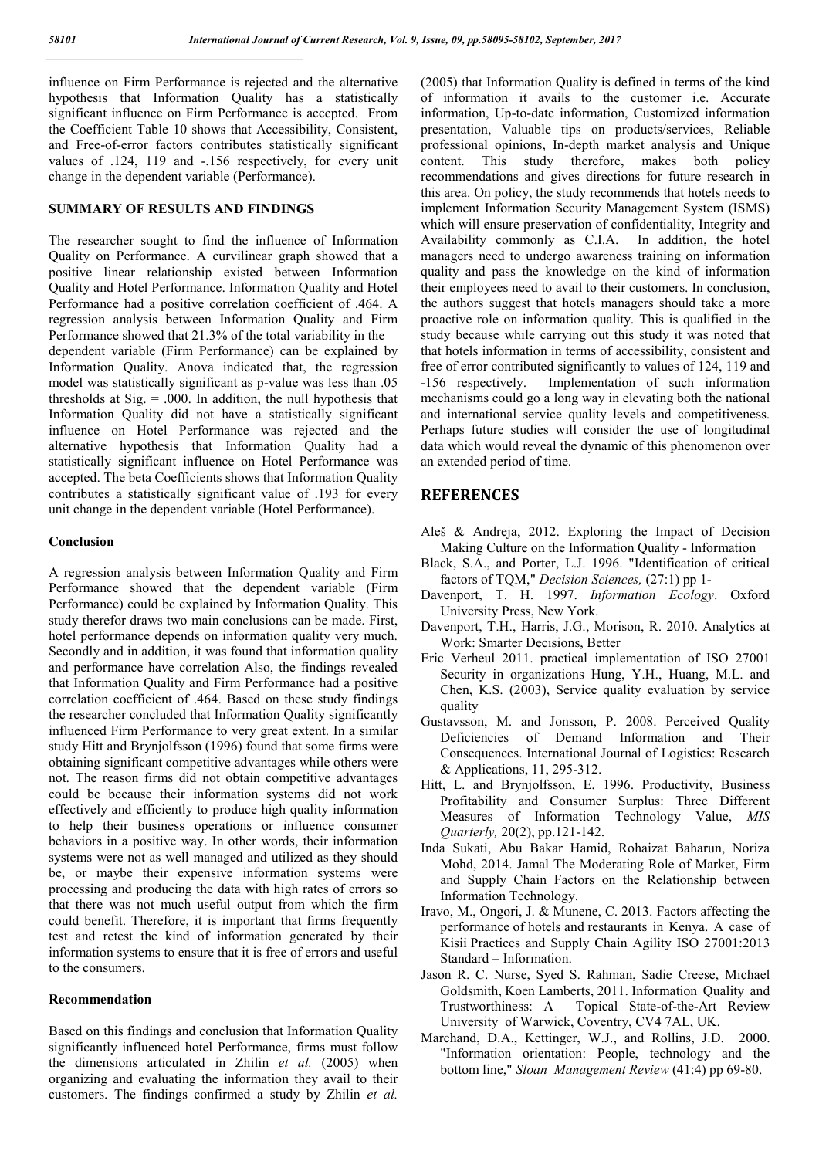influence on Firm Performance is rejected and the alternative hypothesis that Information Quality has a statistically significant influence on Firm Performance is accepted. From the Coefficient Table 10 shows that Accessibility, Consistent, and Free-of-error factors contributes statistically significant values of .124, 119 and -.156 respectively, for every unit change in the dependent variable (Performance).

#### **SUMMARY OF RESULTS AND FINDINGS**

The researcher sought to find the influence of Information Quality on Performance. A curvilinear graph showed that a positive linear relationship existed between Information Quality and Hotel Performance. Information Quality and Hotel Performance had a positive correlation coefficient of .464. A regression analysis between Information Quality and Firm Performance showed that 21.3% of the total variability in the dependent variable (Firm Performance) can be explained by Information Quality. Anova indicated that, the regression model was statistically significant as p-value was less than .05 thresholds at  $Sig. = .000$ . In addition, the null hypothesis that Information Quality did not have a statistically significant influence on Hotel Performance was rejected and the alternative hypothesis that Information Quality had a statistically significant influence on Hotel Performance was accepted. The beta Coefficients shows that Information Quality contributes a statistically significant value of .193 for every unit change in the dependent variable (Hotel Performance).

#### **Conclusion**

A regression analysis between Information Quality and Firm Performance showed that the dependent variable (Firm Performance) could be explained by Information Quality. This study therefor draws two main conclusions can be made. First, hotel performance depends on information quality very much. Secondly and in addition, it was found that information quality and performance have correlation Also, the findings revealed that Information Quality and Firm Performance had a positive correlation coefficient of .464. Based on these study findings the researcher concluded that Information Quality significantly influenced Firm Performance to very great extent. In a similar study Hitt and Brynjolfsson (1996) found that some firms were obtaining significant competitive advantages while others were not. The reason firms did not obtain competitive advantages could be because their information systems did not work effectively and efficiently to produce high quality information to help their business operations or influence consumer behaviors in a positive way. In other words, their information systems were not as well managed and utilized as they should be, or maybe their expensive information systems were processing and producing the data with high rates of errors so that there was not much useful output from which the firm could benefit. Therefore, it is important that firms frequently test and retest the kind of information generated by their information systems to ensure that it is free of errors and useful to the consumers.

#### **Recommendation**

Based on this findings and conclusion that Information Quality significantly influenced hotel Performance, firms must follow the dimensions articulated in Zhilin *et al.* (2005) when organizing and evaluating the information they avail to their customers. The findings confirmed a study by Zhilin *et al.*

(2005) that Information Quality is defined in terms of the kind of information it avails to the customer i.e. Accurate information, Up-to-date information, Customized information presentation, Valuable tips on products/services, Reliable professional opinions, In-depth market analysis and Unique content. This study therefore, makes both policy recommendations and gives directions for future research in this area. On policy, the study recommends that hotels needs to implement Information Security Management System (ISMS) which will ensure preservation of confidentiality, Integrity and Availability commonly as C.I.A. In addition, the hotel managers need to undergo awareness training on information quality and pass the knowledge on the kind of information their employees need to avail to their customers. In conclusion, the authors suggest that hotels managers should take a more proactive role on information quality. This is qualified in the study because while carrying out this study it was noted that that hotels information in terms of accessibility, consistent and free of error contributed significantly to values of 124, 119 and -156 respectively. Implementation of such information mechanisms could go a long way in elevating both the national and international service quality levels and competitiveness. Perhaps future studies will consider the use of longitudinal data which would reveal the dynamic of this phenomenon over an extended period of time.

## **REFERENCES**

- Aleš & Andreja, 2012. Exploring the Impact of Decision Making Culture on the Information Quality - Information
- Black, S.A., and Porter, L.J. 1996. "Identification of critical factors of TQM," *Decision Sciences,* (27:1) pp 1-
- Davenport, T. H. 1997. *Information Ecology*. Oxford University Press, New York.
- Davenport, T.H., Harris, J.G., Morison, R. 2010. Analytics at Work: Smarter Decisions, Better
- Eric Verheul 2011. practical implementation of ISO 27001 Security in organizations Hung, Y.H., Huang, M.L. and Chen, K.S. (2003), Service quality evaluation by service quality
- Gustavsson, M. and Jonsson, P. 2008. Perceived Quality Deficiencies of Demand Information and Their Consequences. International Journal of Logistics: Research & Applications, 11, 295-312.
- Hitt, L. and Brynjolfsson, E. 1996. Productivity, Business Profitability and Consumer Surplus: Three Different Measures of Information Technology Value, *MIS Quarterly,* 20(2), pp.121-142.
- Inda Sukati, Abu Bakar Hamid, Rohaizat Baharun, Noriza Mohd, 2014. Jamal The Moderating Role of Market, Firm and Supply Chain Factors on the Relationship between Information Technology.
- Iravo, M., Ongori, J. & Munene, C. 2013. Factors affecting the performance of hotels and restaurants in Kenya. A case of Kisii Practices and Supply Chain Agility ISO 27001:2013 Standard – Information.
- Jason R. C. Nurse, Syed S. Rahman, Sadie Creese, Michael Goldsmith, Koen Lamberts, 2011. Information Quality and Trustworthiness: A Topical State-of-the-Art Review University of Warwick, Coventry, CV4 7AL, UK.
- Marchand, D.A., Kettinger, W.J., and Rollins, J.D. 2000. "Information orientation: People, technology and the bottom line," *Sloan Management Review* (41:4) pp 69-80.